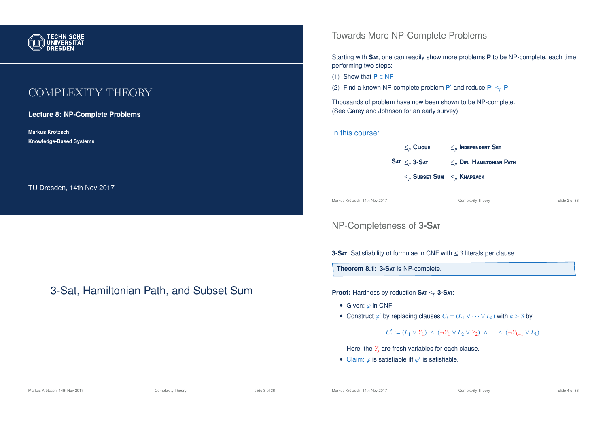

# COMPLEXITY THEORY

#### **Lecture 8: NP-Complete Problems**

**Markus Krotzsch ¨ Knowledge-Based Systems**

TU Dresden, 14th Nov 2017

# 3-Sat, Hamiltonian Path, and Subset Sum

### Towards More NP-Complete Problems

Starting with **S**at, one can readily show more problems **P** to be NP-complete, each time performing two steps:

(1) Show that  $P \in NP$ 

(2) Find a known NP-complete problem  $P'$  and reduce  $P' \leq_p P$ 

Thousands of problem have now been shown to be NP-complete. (See Garey and Johnson for an early survey)

#### In this course:

| $\leq_n$ Clique                       | $\leq_n$ Independent Set       |
|---------------------------------------|--------------------------------|
| $\textbf{SAT} \leq_p \textbf{3-Sat}$  | $\leq_n$ Dir. Hamiltonian Path |
| $\leq_n$ Subset Sum $\leq_n$ Knapsack |                                |
|                                       |                                |

Markus Krötzsch, 14th Nov 2017 Complexity Theory slide 2 of 36

## NP-Completeness of **3-S**at

**3-S**at: Satisfiability of formulae in CNF with ≤ 3 literals per clause

**Theorem 8.1: 3-S**at is NP-complete.

**Proof:** Hardness by reduction **S**at ≤*<sup>p</sup>* **3-S**at:

- Given:  $\varphi$  in CNF
- Construct  $\varphi'$  by replacing clauses  $C_i = (L_1 \vee \cdots \vee L_k)$  with  $k > 3$  by

## *C*<sup>*i*</sup> := (*L*<sub>1</sub> ∨ *Y*<sub>1</sub>) ∧ (¬*Y*<sub>1</sub> ∨ *L*<sub>2</sub> ∨ *Y*<sub>2</sub>) ∧ ... ∧ (¬*Y*<sub>*k*-1</sub> ∨ *L*<sub>*k*</sub>)

Here, the  $Y_i$  are fresh variables for each clause.

• Claim:  $\varphi$  is satisfiable iff  $\varphi'$  is satisfiable.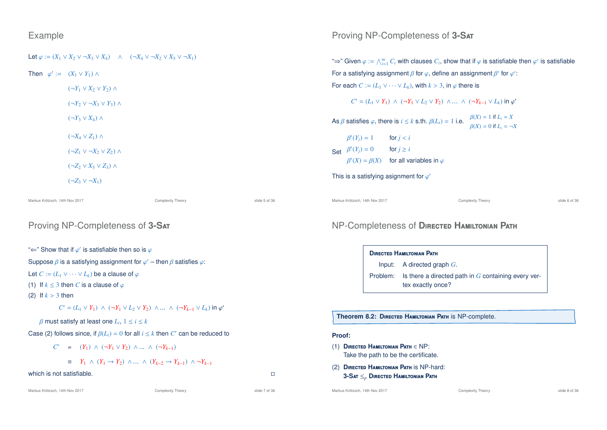### Example

| Let $\varphi := (X_1 \vee X_2 \vee \neg X_3 \vee X_4)$ $\wedge$ $(\neg X_4 \vee \neg X_2 \vee X_5 \vee \neg X_1)$ |  |  |  |  |
|-------------------------------------------------------------------------------------------------------------------|--|--|--|--|
|-------------------------------------------------------------------------------------------------------------------|--|--|--|--|

Then  $\varphi' := (X_1 \vee Y_1) \wedge$ 

 $(\neg Y_1 \lor X_2 \lor Y_2) \land$ 

 $(\neg Y_2 \lor \neg X_3 \lor Y_3) \land$ 

 $(\neg Y_3 \lor X_4) \land$ 

 $(\neg X_4 \lor Z_1) \land$ 

 $(\neg Z_1 \lor \neg X_2 \lor Z_2) \land$ 

(¬*Z*<sup>2</sup> ∨ *X*<sup>5</sup> ∨ *Z*3) ∧

```
(¬Z_3 ∨ ¬X_1)
```
Markus Krötzsch, 14th Nov 2017 Complexity Theory slide 5 of 36

## Proving NP-Completeness of **3-S**at

" $\Leftarrow$ " Show that if  $\varphi'$  is satisfiable then so is  $\varphi$ 

Suppose  $\beta$  is a satisfying assignment for  $\varphi'$  – then  $\beta$  satisfies  $\varphi$ :

Let  $C := (L_1 \vee \cdots \vee L_k)$  be a clause of  $\varphi$ 

(1) If  $k < 3$  then *C* is a clause of  $\varphi$ 

(2) If  $k > 3$  then

*C*' = (*L*<sub>1</sub> ∨ *Y*<sub>1</sub>) ∧ (¬*Y*<sub>1</sub> ∨ *L*<sub>2</sub> ∨ *Y*<sub>2</sub>) ∧ ... ∧ (¬*Y*<sub>*k*-1</sub> ∨ *L*<sub>*k*</sub>) in  $\varphi'$ 

 $\beta$  must satisfy at least one  $L_i$ ,  $1 \le i \le k$ 

Case (2) follows since, if  $\beta(L_i) = 0$  for all  $i \leq k$  then  $C'$  can be reduced to

$$
C' = (Y_1) \wedge (\neg Y_1 \vee Y_2) \wedge \dots \wedge (\neg Y_{k-1})
$$

≡ *Y*<sup>1</sup> ∧ (*Y*<sup>1</sup> → *Y*2) ∧ ... ∧ (*Y<sup>k</sup>*−<sup>2</sup> → *Y<sup>k</sup>*−<sup>1</sup>) ∧ ¬*Y<sup>k</sup>*−<sup>1</sup>

#### which is not satisfiable.

## Proving NP-Completeness of **3-S**at

"⇒" Given  $\varphi := \bigwedge_{i=1}^m C_i$  with clauses  $C_i$ , show that if  $\varphi$  is satisfiable then  $\varphi'$  is satisfiable For a satisfying assignment  $\beta$  for  $\varphi,$  define an assignment  $\beta'$  for  $\varphi'$ : For each  $C := (L_1 \vee \cdots \vee L_k)$ , with  $k > 3$ , in  $\varphi$  there is

$$
C' = (L_1 \vee Y_1) \wedge (\neg Y_1 \vee L_2 \vee Y_2) \wedge \dots \wedge (\neg Y_{k-1} \vee L_k) \text{ in } \varphi'
$$

As  $\beta$  satisfies  $\varphi$ , there is  $i \leq k$  s.th.  $\beta(L_i) = 1$  i.e.  $\beta(X) = 1$  if  $L_i = X$  $\beta(X) = 0$  if  $L_i = \neg X$ 

| $\beta'(Y_i) = 1$     | for $i < i$                                           |
|-----------------------|-------------------------------------------------------|
| Set $\beta'(Y_j) = 0$ | for $i \geq i$                                        |
|                       | $\beta'(X) = \beta(X)$ for all variables in $\varphi$ |

```
This is a satisfying asignment for \varphi'
```

```
Markus Krötzsch, 14th Nov 2017 Complexity Theory slide 6 of 36
```
## NP-Completeness of **D**irected **H**amiltonian **P**ath

| <b>DIRECTED HAMILTONIAN PATH</b>                                                    |
|-------------------------------------------------------------------------------------|
| Input: A directed graph $G$ .                                                       |
| Problem: Is there a directed path in $G$ containing every ver-<br>tex exactly once? |

**Theorem 8.2: D**irected **H**amiltonian **P**ath is NP-complete.

#### **Proof:**

- (1) **D**irected **H**amiltonian **P**ath ∈ NP: Take the path to be the certificate.
- (2) **D**irected **H**amiltonian **P**ath is NP-hard: **3-S**at ≤*<sup>p</sup>* **D**irected **H**amiltonian **P**ath

Markus Krötzsch, 14th Nov 2017 **Complexity Theory** Complexity Theory slide 8 of 36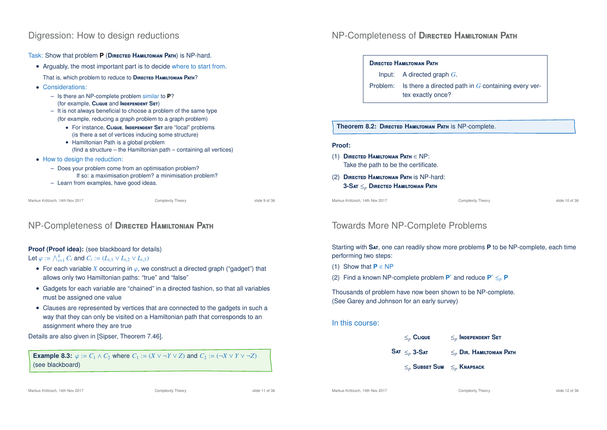## Digression: How to design reductions

Task: Show that problem **P** (**D**irected **H**amiltonian **P**ath) is NP-hard.

- Arguably, the most important part is to decide where to start from. That is, which problem to reduce to **D**irected **H**amiltonian **P**ath?
- Considerations:
	- Is there an NP-complete problem similar to **P**? (for example, **C**lique and **I**ndependent **S**et)
	- It is not always beneficial to choose a problem of the same type (for example, reducing a graph problem to a graph problem)
		- For instance, **C**lique, **I**ndependent **S**et are "local" problems (is there a set of vertices inducing some structure)
		- Hamiltonian Path is a global problem (find a structure – the Hamiltonian path – containing all vertices)
- How to design the reduction:
	- Does your problem come from an optimisation problem? If so: a maximisation problem? a minimisation problem?
	- Learn from examples, have good ideas.

Markus Krötzsch, 14th Nov 2017 Complexity Theory slide 9 of 36

# NP-Completeness of **D**irected **H**amiltonian **P**ath

## **Proof (Proof idea):** (see blackboard for details)

### Let  $\varphi := \bigwedge_{i=1}^{k} C_i$  and  $C_i := (L_{i,1} \vee L_{i,2} \vee L_{i,3})$

- For each variable *X* occurring in  $\varphi$ , we construct a directed graph ("gadget") that allows only two Hamiltonian paths: "true" and "false"
- Gadgets for each variable are "chained" in a directed fashion, so that all variables must be assigned one value
- Clauses are represented by vertices that are connected to the gadgets in such a way that they can only be visited on a Hamiltonian path that corresponds to an assignment where they are true

Details are also given in [Sipser, Theorem 7.46].

**Example 8.3:**  $\varphi := C_1 \wedge C_2$  where  $C_1 := (X \vee \neg Y \vee Z)$  and  $C_2 := (\neg X \vee Y \vee \neg Z)$ (see blackboard)

# NP-Completeness of **D**irected **H**amiltonian **P**ath

#### **D**irected **H**amiltonian **P**ath

Input: A directed graph *G*.

Problem: Is there a directed path in *G* containing every vertex exactly once?

#### **Theorem 8.2: D**irected **H**amiltonian **P**ath is NP-complete.

#### **Proof:**

- (1) **D**irected **H**amiltonian **P**ath ∈ NP: Take the path to be the certificate.
- (2) **D**irected **H**amiltonian **P**ath is NP-hard: **3-S**at ≤*<sup>p</sup>* **D**irected **H**amiltonian **P**ath

Markus Krötzsch, 14th Nov 2017 Complexity Theory slide 10 of 36

# Towards More NP-Complete Problems

Starting with **S**at, one can readily show more problems **P** to be NP-complete, each time performing two steps:

- (1) Show that **P** ∈ NP
- (2) Find a known NP-complete problem  $P'$  and reduce  $P' \leq_p P$

Thousands of problem have now been shown to be NP-complete. (See Garey and Johnson for an early survey)

### In this course:

- ≤*<sup>p</sup>* **C**lique ≤*<sup>p</sup>* **I**ndependent **S**et
- $SAT \leq n 3-SAT$ 
	- ≤*<sup>p</sup>* **S**ubset **S**um ≤*<sup>p</sup>* **K**napsack

≤*<sup>p</sup>* **3-S**at ≤*<sup>p</sup>* **D**ir**. H**amiltonian **P**ath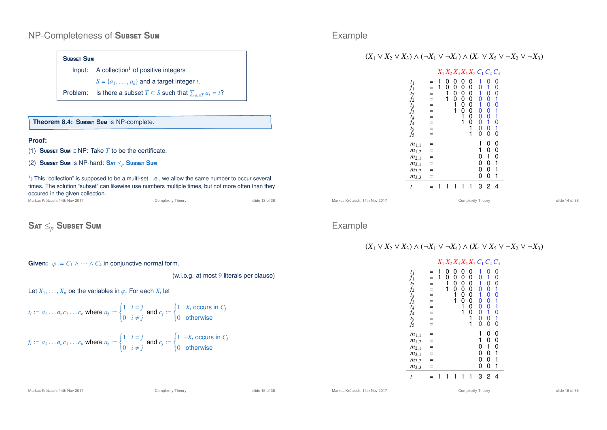#### NP-Completeness of **S**ubset **S**um

#### **S**ubset **S**um

Input:  $A$  collection<sup>1</sup> of positive integers  $S = \{a_1, \ldots, a_k\}$  and a target integer *t*.

Problem: Is there a subset  $T \subseteq S$  such that  $\sum_{a_i \in T} a_i = t$ ?

#### **Theorem 8.4: S**ubset **S**um is NP-complete.

#### **Proof:**

- (1) **S**ubset **S**um ∈ NP: Take *T* to be the certificate.
- (2) **S**ubset **S**um is NP-hard: **S**at ≤*<sup>p</sup>* **S**ubset **S**um

 $<sup>1</sup>$ ) This "collection" is supposed to be a multi-set, i.e., we allow the same number to occur several</sup> times. The solution "subset" can likewise use numbers multiple times, but not more often than they occured in the given collection.

Complexity Theory **Complexity Theory** 36

## **S**at ≤*<sup>p</sup>* **S**ubset **S**um

**Given:**  $\varphi := C_1 \wedge \cdots \wedge C_k$  in conjunctive normal form.

(w.l.o.g. at most 9 literals per clause)

Let  $X_1, \ldots, X_n$  be the variables in  $\varphi$ . For each  $X_i$  let

$$
t_i := a_1 \dots a_n c_1 \dots c_k \text{ where } a_j := \begin{cases} 1 & i = j \\ 0 & i \neq j \end{cases} \text{ and } c_j := \begin{cases} 1 & X_i \text{ occurs in } C_j \\ 0 & \text{otherwise} \end{cases}
$$

$$
f_i := a_1 \dots a_n c_1 \dots c_k \text{ where } a_j := \begin{cases} 1 & i = j \\ 0 & i \neq j \end{cases} \text{ and } c_j := \begin{cases} 1 & \neg X_i \text{ occurs in } C_j \\ 0 & \text{otherwise} \end{cases}
$$

### Example

#### $(X_1 \vee X_2 \vee X_3) \wedge (\neg X_1 \vee \neg X_4) \wedge (X_4 \vee X_5 \vee \neg X_2 \vee \neg X_3)$

|                                                                            |                              |   |                  |                                        |                                                              | $X_1 X_2 X_3 X_4 X_5 C_1 C_2 C_3$                          |                                        |                                                                                                                        |                                       |
|----------------------------------------------------------------------------|------------------------------|---|------------------|----------------------------------------|--------------------------------------------------------------|------------------------------------------------------------|----------------------------------------|------------------------------------------------------------------------------------------------------------------------|---------------------------------------|
| $f_1$<br>$f_1$<br>t2 t3 t3 t4 t4 t5 t5                                     | $=$<br>$=$<br>= = = = =<br>= | 1 | 0<br>0<br>1<br>1 | 0<br>0<br>$^{\rm o}_{\rm o}$<br>1<br>1 | 0<br>0<br>$^{\rm o}_{\rm o}$<br>$^{\rm o}_{\rm o}$<br>1<br>1 | 0<br>0<br>$^{\rm o}_{\rm o}$<br>0<br>0<br>0<br>0<br>1<br>1 | 1<br>0<br>1<br>Ó<br>1<br>000000        | 0<br>1<br>$^{\rm o}_{\rm o}$<br>$\begin{matrix} 0 \\ 0 \\ 0 \end{matrix}$<br>1<br>$\begin{matrix} 0 \\ 0 \end{matrix}$ | 00010110<br>$\frac{1}{0}$             |
| $m_{1,1}$<br>$m_{1,2}$<br>$m_{2,1}$<br>$m_{3,1}$<br>$m_{3,2}$<br>$m_{3,3}$ |                              |   |                  |                                        |                                                              |                                                            | 1<br>1<br>$^{\rm o}_{\rm o}$<br>0<br>0 | 0<br>0<br>1<br>0<br>0<br>0                                                                                             | 0<br>0<br>$\mathbf{0}$<br>1<br>1<br>1 |
| t                                                                          |                              |   |                  |                                        |                                                              |                                                            | 3                                      | 2                                                                                                                      | 4                                     |

Markus Krötzsch, 14th Nov 2017 Complexity Theory slide 14 of 36

### Example

## $(X_1 \vee X_2 \vee X_3) \wedge (\neg X_1 \vee \neg X_4) \wedge (X_4 \vee X_5 \vee \neg X_2 \vee \neg X_3)$

|                                                                            |                                    |   |                  |                            |                                      | $X_1 X_2 X_3 X_4 X_5 C_1 C_2 C_3$              |                                        |                                                                        |                            |
|----------------------------------------------------------------------------|------------------------------------|---|------------------|----------------------------|--------------------------------------|------------------------------------------------|----------------------------------------|------------------------------------------------------------------------|----------------------------|
| $f_1$<br>$f_1$<br>t2 f2 t3 f3 t4 f4 t5 f5                                  | $=$<br>$\equiv$<br>= = = = =<br>=  | 1 | 0<br>0<br>Ī<br>1 | 0<br>0<br>Ō<br>0<br>1<br>1 | 0<br>0<br>0<br>0<br>0<br>0<br>1<br>1 | 0<br>0<br>0<br>0<br>0<br>0<br>0<br>0<br>1<br>1 | 1<br>0<br>1<br>O<br>1<br>000000        | 0<br>1<br>0<br>$^{\rm 0}_{\rm 0}$<br>$^{\rm o}_{\rm o}$<br>1<br>Ó<br>0 | 000<br>001<br>11010        |
| $m_{1,1}$<br>$m_{1,2}$<br>$m_{2,1}$<br>$m_{3,1}$<br>$m_{3,2}$<br>$m_{3,3}$ | =<br>$=$<br>$=$<br>$=$<br>=<br>$=$ |   |                  |                            |                                      |                                                | 1<br>1<br>$^{\rm o}_{\rm o}$<br>0<br>0 | 0<br>0<br>1<br>0<br>0<br>0                                             | 0<br>0<br>0<br>1<br>1<br>1 |
| t                                                                          |                                    |   |                  |                            |                                      |                                                | 3                                      | 2                                                                      | 4                          |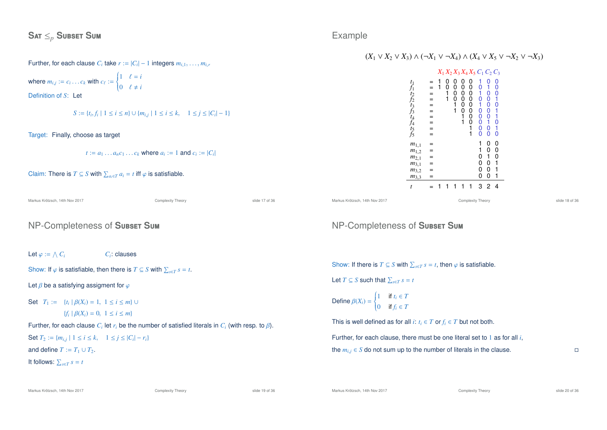$$
\textbf{SAT} \leq_p \textbf{SUBSET} \textbf{Sum}
$$

#### Further, for each clause  $C_i$  take  $r := |C_i| - 1$  integers  $m_{i,1}, \ldots, m_{i,r}$

where  $m_{i,j} := c_i \dots c_k$  with  $c_{\ell} :=$  $\left\{ \right.$  $\mathcal{L}$  $1 \quad \ell = i$ 0  $\ell \neq i$ Definition of *S*: Let

*S* := {*t*<sub>*i*</sub>,*f*<sub>*i*</sub> | 1 ≤ *i* ≤ *n*} ∪ { $m_{i,j}$  | 1 ≤ *i* ≤ *k*, 1 ≤ *j* ≤ |*C*<sub>*i*</sub>| − 1}

#### Target: Finally, choose as target

 $t := a_1 \dots a_n c_1 \dots c_k$  where  $a_i := 1$  and  $c_i := |C_i|$ 

Claim: There is  $T \subseteq S$  with  $\sum_{a_i \in T} a_i = t$  iff  $\varphi$  is satisfiable.

Markus Krötzsch, 14th Nov 2017 Complexity Theory slide 17 of 36

### NP-Completeness of **S**ubset **S**um

Let  $\varphi := \bigwedge C_i$  *C<sub>i</sub>*  $C_i$ : clauses

Show: If  $\varphi$  is satisfiable, then there is  $T \subseteq S$  with  $\sum_{s \in T} s = t$ .

Let  $\beta$  be a satisfying assigment for  $\varphi$ 

Set  $T_1 := \{t_i \mid \beta(X_i) = 1, 1 \le i \le m\}$  ∪

$$
\{f_i \mid \beta(X_i) = 0, \ 1 \le i \le m\}
$$

Further, for each clause  $C_i$  let  $r_i$  be the number of satisfied literals in  $C_i$  (with resp. to  $\beta$ ).

### Set  $T_2 := \{m_{i,j} \mid 1 \le i \le k, \quad 1 \le j \le |C_i| - r_i\}$

and define  $T := T_1 \cup T_2$ .

It follows:  $\sum_{s \in T} s = t$ 

### Example

#### $(X_1 \vee X_2 \vee X_3) \wedge (\neg X_1 \vee \neg X_4) \wedge (X_4 \vee X_5 \vee \neg X_2 \vee \neg X_3)$

|                                                                            |                                               |   |                  |                            |                                      | $X_1 X_2 X_3 X_4 X_5 C_1 C_2 C_3$  |                                                                                                                   |                                                                                                                                    |                                                  |
|----------------------------------------------------------------------------|-----------------------------------------------|---|------------------|----------------------------|--------------------------------------|------------------------------------|-------------------------------------------------------------------------------------------------------------------|------------------------------------------------------------------------------------------------------------------------------------|--------------------------------------------------|
| なんなたなお なんちょう                                                               | $=$<br>$=$<br>$=$<br>$=$<br>$=$<br>$=$<br>$=$ | 1 | 0<br>0<br>1<br>1 | 0<br>0<br>0<br>0<br>1<br>1 | 0<br>0<br>Ŏ<br>0<br>0<br>0<br>1<br>1 | $^{\rm o}_{\rm o}$<br>0000001<br>1 | 1<br>0<br>$\frac{1}{0}$<br>1<br>Ó<br>$\begin{matrix} 0 \\ 0 \end{matrix}$<br>$\begin{matrix} 0 \\ 0 \end{matrix}$ | $\mathbf{0}$<br>$\begin{array}{c} 1 \\ 0 \\ 0 \end{array}$<br>$^{\rm o}_{\rm o}$<br>Ō<br>İ<br>$\begin{matrix} 0 \\ 0 \end{matrix}$ | 00010110<br>$\frac{1}{0}$                        |
| $m_{1,1}$<br>$m_{1,2}$<br>$m_{2,1}$<br>$m_{3,1}$<br>$m_{3,2}$<br>$m_{3,3}$ | $=$<br>$=$<br>$=$<br>$=$                      |   |                  |                            |                                      |                                    | 1<br>1<br>0<br>0<br>0<br>0                                                                                        | 0<br>0<br>1<br>O<br>0<br>0                                                                                                         | $\mathbf{0}$<br>$\mathbf{0}$<br>ō<br>1<br>1<br>1 |
| t                                                                          |                                               |   |                  |                            |                                      |                                    | 3                                                                                                                 | 2                                                                                                                                  | 4                                                |

Markus Krötzsch, 14th Nov 2017 Complexity Theory slide 18 of 36

## NP-Completeness of **S**ubset **S**um

Show: If there is  $T \subseteq S$  with  $\sum_{s \in T} s = t$ , then  $\varphi$  is satisfiable.

Let  $T \subseteq S$  such that  $\sum_{s \in T} s = t$ 

$$
\text{Define } \beta(X_i) = \begin{cases} 1 & \text{if } t_i \in T \\ 0 & \text{if } f_i \in T \end{cases}
$$

This is well defined as for all *i*:  $t_i \in T$  or  $f_i \in T$  but not both.

Further, for each clause, there must be one literal set to 1 as for all *i*, the  $m_{i,j} \in S$  do not sum up to the number of literals in the clause.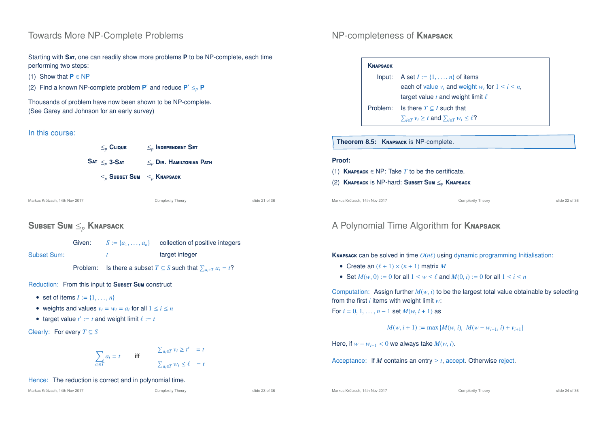## Towards More NP-Complete Problems

Starting with **S**at, one can readily show more problems **P** to be NP-complete, each time performing two steps:

- (1) Show that  $P \in NP$
- (2) Find a known NP-complete problem  $P'$  and reduce  $P' \leq_{p} P$

Thousands of problem have now been shown to be NP-complete. (See Garey and Johnson for an early survey)

#### In this course:



Markus Krötzsch, 14th Nov 2017 Complexity Theory slide 21 of 36

## **S**ubset **S**um ≤*<sup>p</sup>* **K**napsack

|             | Given: | $S := \{a_1, \ldots, a_n\}$ collection of positive integers |
|-------------|--------|-------------------------------------------------------------|
| Subset Sum: |        | target integer                                              |
|             |        |                                                             |

Problem: Is there a subset  $T \subseteq S$  such that  $\sum_{a_i \in T} a_i = t$ ?

Reduction: From this input to **SUBSET SUM** construct

- set of items  $I := \{1, \ldots, n\}$
- weights and values  $v_i = w_i = a_i$  for all  $1 \le i \le n$
- target value  $t' := t$  and weight limit  $\ell := t$

Clearly: For every *T* ⊆ *S*

$$
\sum_{a_i \in T} a_i = t \qquad \text{iff} \qquad \qquad \sum_{a_i \in T} v_i \ge t' = t
$$
\n
$$
\sum_{a_i \in T} w_i \le \ell = t
$$

#### Hence: The reduction is correct and in polynomial time.

Markus Krötzsch, 14th Nov 2017 **Complexity Theory** Complexity Theory slide 23 of 36

<sup>0</sup> = *t*

## NP-completeness of **K**napsack

| <b>KNAPSACK</b> |                                                                  |
|-----------------|------------------------------------------------------------------|
| Input:          | A set $I := \{1, \ldots, n\}$ of items                           |
|                 | each of value $v_i$ and weight $w_i$ for $1 \le i \le n$ .       |
|                 | target value $t$ and weight limit $\ell$                         |
| Problem:        | Is there $T \subseteq I$ such that                               |
|                 | $\sum_{i \in T} v_i \geq t$ and $\sum_{i \in T} w_i \leq \ell$ ? |
|                 |                                                                  |

**Theorem 8.5: K**napsack is NP-complete.

#### **Proof:**

- (1) **K**napsack ∈ NP: Take *T* to be the certificate.
- (2) **K**napsack is NP-hard: **S**ubset **S**um ≤*<sup>p</sup>* **K**napsack

Markus Krötzsch, 14th Nov 2017 Complexity Theory slide 22 of 36

## A Polynomial Time Algorithm for **K**napsack

**KNAPSACK** can be solved in time  $O(n\ell)$  using dynamic programming Initialisation:

- Create an  $(\ell + 1) \times (n + 1)$  matrix *M*
- Set  $M(w, 0) := 0$  for all  $1 \le w \le \ell$  and  $M(0, i) := 0$  for all  $1 \le i \le n$

Computation: Assign further  $M(w, i)$  to be the largest total value obtainable by selecting from the first *i* items with weight limit *w*:

For  $i = 0, 1, ..., n - 1$  set  $M(w, i + 1)$  as

$$
M(w, i + 1) := \max \{ M(w, i), M(w - w_{i+1}, i) + v_{i+1} \}
$$

Here, if  $w - w_{i+1} < 0$  we always take  $M(w, i)$ .

Acceptance: If *M* contains an entry  $\geq t$ , accept. Otherwise reject.

Markus Krötzsch, 14th Nov 2017 **Complexity Theory** Complexity Theory slide 24 of 36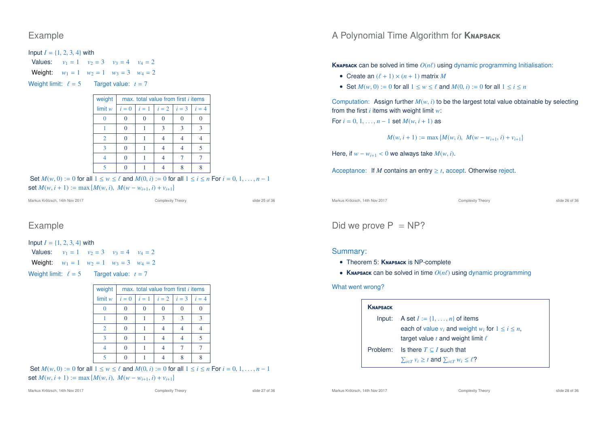Example

Input  $I = \{1, 2, 3, 4\}$  with Values:  $v_1 = 1$   $v_2 = 3$   $v_3 = 4$   $v_4 = 2$ **Weight:**  $w_1 = 1$   $w_2 = 1$   $w_3 = 3$   $w_4 = 2$ Weight limit:  $\ell = 5$  Target value:  $t = 7$ 

| weight        | max, total value from first <i>i</i> items |  |                             |  |       |  |  |
|---------------|--------------------------------------------|--|-----------------------------|--|-------|--|--|
| limit w       | $i=0$                                      |  | $i = 1$   $i = 2$   $i = 3$ |  | $i=4$ |  |  |
|               |                                            |  |                             |  |       |  |  |
|               |                                            |  | 3                           |  |       |  |  |
| $\mathcal{L}$ | 0                                          |  |                             |  |       |  |  |
| 3             | 0                                          |  |                             |  |       |  |  |
|               |                                            |  |                             |  |       |  |  |
|               |                                            |  |                             |  |       |  |  |

Set  $M(w, 0) := 0$  for all  $1 \le w \le \ell$  and  $M(0, i) := 0$  for all  $1 \le i \le n$  For  $i = 0, 1, \ldots, n - 1$  $\text{set } M(w, i + 1) := \max \{M(w, i), M(w - w_{i+1}, i) + v_{i+1}\}$ 

```
Markus Krötzsch, 14th Nov 2017 Complexity Theory slide 25 of 36
```
### Example

```
Input I = \{1, 2, 3, 4\} with
Values: v_1 = 1 v_2 = 3 v_3 = 4 v_4 = 2Weight: w_1 = 1 w_2 = 1 w_3 = 3 w_4 = 2
```
Weight limit:  $\ell = 5$  Target value:  $t = 7$ 

| weight  | max. total value from first <i>i</i> items |       |                   |   |       |  |  |
|---------|--------------------------------------------|-------|-------------------|---|-------|--|--|
| limit w | $i=0$                                      | $i=1$ | $i = 2$   $i = 3$ |   | $i=4$ |  |  |
|         | 0                                          |       |                   |   |       |  |  |
|         | 0                                          |       | 3                 | 3 |       |  |  |
| 2       | $\theta$                                   |       |                   |   |       |  |  |
| ౩       | 0                                          |       |                   |   |       |  |  |
|         | 0                                          |       |                   |   |       |  |  |
|         |                                            |       |                   |   |       |  |  |

Set  $M(w, 0) := 0$  for all  $1 \le w \le \ell$  and  $M(0, i) := 0$  for all  $1 \le i \le n$  For  $i = 0, 1, \ldots, n - 1$  $\text{set } M(w, i + 1) := \max \{M(w, i), M(w - w_{i+1}, i) + v_{i+1}\}$ 

Markus Krötzsch, 14th Nov 2017 Complexity Theory slide 26 of 36

#### Did we prove  $P = NP$ ?

#### Summary:

- Theorem 5: **K**napsack is NP-complete
- **KNAPSACK** can be solved in time  $O(n\ell)$  using dynamic programming

#### What went wrong?

| <b>KNAPSACK</b> |                                                                  |  |  |
|-----------------|------------------------------------------------------------------|--|--|
| Input:          | A set $I := \{1, \ldots, n\}$ of items                           |  |  |
|                 | each of value $v_i$ and weight $w_i$ for $1 \le i \le n$ ,       |  |  |
|                 | target value t and weight limit $\ell$                           |  |  |
| Problem:        | Is there $T \subseteq I$ such that                               |  |  |
|                 | $\sum_{i \in T} v_i \geq t$ and $\sum_{i \in T} w_i \leq \ell$ ? |  |  |

## A Polynomial Time Algorithm for **K**napsack

**KNAPSACK** can be solved in time  $O(n\ell)$  using dynamic programming Initialisation:

- Create an  $(\ell + 1) \times (n + 1)$  matrix *M*
- Set  $M(w, 0) := 0$  for all  $1 \le w \le \ell$  and  $M(0, i) := 0$  for all  $1 \le i \le n$

Computation: Assign further  $M(w, i)$  to be the largest total value obtainable by selecting from the first *i* items with weight limit *w*:

For  $i = 0, 1, ..., n - 1$  set  $M(w, i + 1)$  as

$$
M(w, i + 1) := \max \{ M(w, i), M(w - w_{i+1}, i) + v_{i+1} \}
$$

Here, if  $w - w_{i+1} < 0$  we always take  $M(w, i)$ .

Acceptance: If *M* contains an entry  $\geq t$ , accept. Otherwise reject.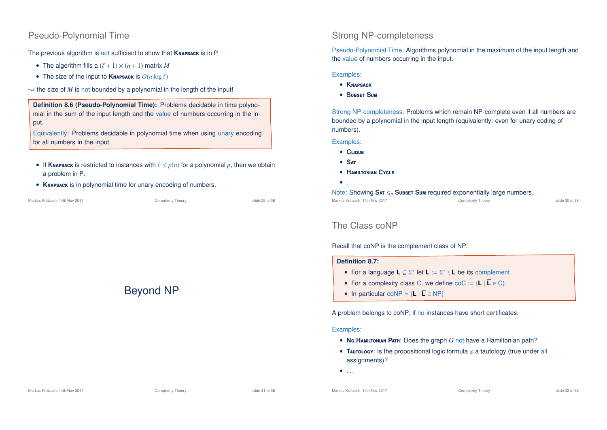### Pseudo-Polynomial Time

The previous algorithm is not sufficient to show that **K**napsack is in P

- The algorithm fills a  $(\ell + 1) \times (n + 1)$  matrix *M*
- The size of the input to **KNAPSACK** is  $O(n \log \ell)$
- $\rightarrow$  the size of *M* is not bounded by a polynomial in the length of the input!

**Definition 8.6 (Pseudo-Polynomial Time):** Problems decidable in time polynomial in the sum of the input length and the value of numbers occurring in the input.

Equivalently: Problems decidable in polynomial time when using unary encoding for all numbers in the input.

- If **KNAPSACK** is restricted to instances with  $\ell \leq p(n)$  for a polynomial p, then we obtain a problem in P.
- **K**napsack is in polynomial time for unary encoding of numbers.

| Markus Krötzsch. 14th Nov 2017 | Complexity Theory | slide 29 of 36 |
|--------------------------------|-------------------|----------------|
|                                |                   |                |

# Beyond NP

# Strong NP-completeness

Pseudo-Polynomial Time: Algorithms polynomial in the maximum of the input length and the value of numbers occurring in the input.

#### Examples:

- **K**napsack
- **S**ubset **S**um

Strong NP-completeness: Problems which remain NP-complete even if all numbers are bounded by a polynomial in the input length (equivalently: even for unary coding of numbers).

Examples:

- **C**lique
- **S**at
- **H**amiltonian **C**ycle
- $\bullet$  . . .

Note: Showing Sar ≤<sub>*p*</sub> Subset Sum required exponentially large numbers.<br>Markus Krötzsch. 14th Nov 2017<br>Complexity Theory

Markus Krötzsch, 14th Nov 2017 Complexity Theory slide 30 of 36

## The Class coNP

Recall that coNP is the complement class of NP.

#### **Definition 8.7:**

- For a language **L** ⊆ Σ<sup>\*</sup> let **L** := Σ<sup>\*</sup> \ **L** be its complement
- For a complexity class C, we define  $\text{coC} := \{L | \overline{L} \in C\}$
- In particular coNP =  ${L | \overline{L} \in NP}$

A problem belongs to coNP, if no-instances have short certificates.

#### Examples:

- **N**o **H**amiltonian **P**ath: Does the graph *G* not have a Hamiltonian path?
- **Tautology:** Is the propositional logic formula  $\varphi$  a tautology (true under all assignments)?

 $\bullet$  . . . .

Markus Krötzsch, 14th Nov 2017 **Complexity Theory** Complexity Theory slide 32 of 36